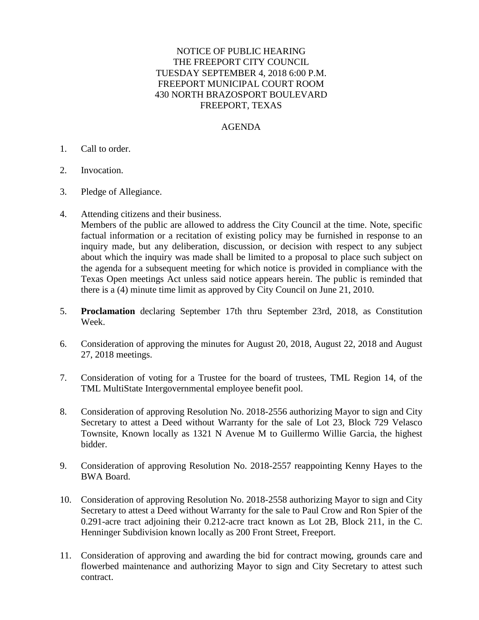## NOTICE OF PUBLIC HEARING THE FREEPORT CITY COUNCIL TUESDAY SEPTEMBER 4, 2018 6:00 P.M. FREEPORT MUNICIPAL COURT ROOM 430 NORTH BRAZOSPORT BOULEVARD FREEPORT, TEXAS

## AGENDA

## 1. Call to order.

- 2. Invocation.
- 3. Pledge of Allegiance.
- 4. Attending citizens and their business.

Members of the public are allowed to address the City Council at the time. Note, specific factual information or a recitation of existing policy may be furnished in response to an inquiry made, but any deliberation, discussion, or decision with respect to any subject about which the inquiry was made shall be limited to a proposal to place such subject on the agenda for a subsequent meeting for which notice is provided in compliance with the Texas Open meetings Act unless said notice appears herein. The public is reminded that there is a (4) minute time limit as approved by City Council on June 21, 2010.

- 5. **Proclamation** declaring September 17th thru September 23rd, 2018, as Constitution Week.
- 6. Consideration of approving the minutes for August 20, 2018, August 22, 2018 and August 27, 2018 meetings.
- 7. Consideration of voting for a Trustee for the board of trustees, TML Region 14, of the TML MultiState Intergovernmental employee benefit pool.
- 8. Consideration of approving Resolution No. 2018-2556 authorizing Mayor to sign and City Secretary to attest a Deed without Warranty for the sale of Lot 23, Block 729 Velasco Townsite, Known locally as 1321 N Avenue M to Guillermo Willie Garcia, the highest bidder.
- 9. Consideration of approving Resolution No. 2018-2557 reappointing Kenny Hayes to the BWA Board.
- 10. Consideration of approving Resolution No. 2018-2558 authorizing Mayor to sign and City Secretary to attest a Deed without Warranty for the sale to Paul Crow and Ron Spier of the 0.291-acre tract adjoining their 0.212-acre tract known as Lot 2B, Block 211, in the C. Henninger Subdivision known locally as 200 Front Street, Freeport.
- 11. Consideration of approving and awarding the bid for contract mowing, grounds care and flowerbed maintenance and authorizing Mayor to sign and City Secretary to attest such contract.